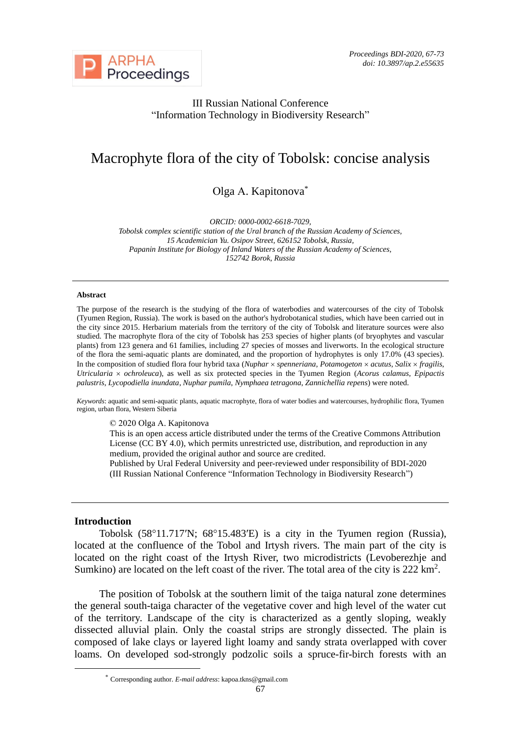

## III Russian National Conference "Information Technology in Biodiversity Research"

# Macrophyte flora of the city of Tobolsk: concise analysis

Оlga А. Kapitonova\*

*ORCID: 0000-0002-6618-7029,* 

*Tobolsk complex scientific station of the Ural branch of the Russian Academy of Sciences, 15 Academician Yu. Osipov Street, 626152 Tobolsk, Russia, Papanin Institute for Biology of Inland Waters of the Russian Academy of Sciences, 152742 Borok, Russia*

#### **Abstract**

The purpose of the research is the studying of the flora of waterbodies and watercourses of the city of Tobolsk (Tyumen Region, Russia). The work is based on the author's hydrobotanical studies, which have been carried out in the city since 2015. Herbarium materials from the territory of the city of Tobolsk and literature sources were also studied. The macrophyte flora of the city of Tobolsk has 253 species of higher plants (of bryophytes and vascular plants) from 123 genera and 61 families, including 27 species of mosses and liverworts. In the ecological structure of the flora the semi-aquatic plants are dominated, and the proportion of hydrophytes is only 17.0% (43 species). In the composition of studied flora four hybrid taxa ( $Nuphar \times spenneriana$ ,  $Potamogeton \times acutus$ , *Salix*  $\times fragilis$ , *Utricularia ochroleuca*), as well as six protected species in the Tyumen Region (*Acorus calamus*, *Epipactis palustris, Lycopodiella inundata*, *Nuphar pumila*, *Nymphaea tetragona*, *Zannichellia repens*) were noted.

*Keywords*: aquatic and semi-aquatic plants, aquatic macrophyte, flora of water bodies and watercourses, hydrophilic flora, Tyumen region, urban flora, Western Siberia

© 2020 Оlga А. Kapitonova

This is an open access article distributed under the terms of the Creative Commons Attribution License (CC BY 4.0), which permits unrestricted use, distribution, and reproduction in any medium, provided the original author and source are credited.

Published by Ural Federal University and peer-reviewed under responsibility of BDI-2020 (III Russian National Conference "Information Technology in Biodiversity Research")

### **Introduction**

Tobolsk (58°11.717′N; 68°15.483′E) is a city in the Tyumen region (Russia), located at the confluence of the Tobol and Irtysh rivers. The main part of the city is located on the right coast of the Irtysh River, two microdistricts (Levoberezhje and Sumkino) are located on the left coast of the river. The total area of the city is  $222 \text{ km}^2$ .

The position of Tobolsk at the southern limit of the taiga natural zone determines the general south-taiga character of the vegetative cover and high level of the water cut of the territory. Landscape of the city is characterized as a gently sloping, weakly dissected alluvial plain. Only the coastal strips are strongly dissected. The plain is composed of lake clays or layered light loamy and sandy strata overlapped with cover loams. On developed sod-strongly podzolic soils a spruce-fir-birch forests with an

<sup>\*</sup> Corresponding author. *E-mail address*: kapoa.tkns@gmail.com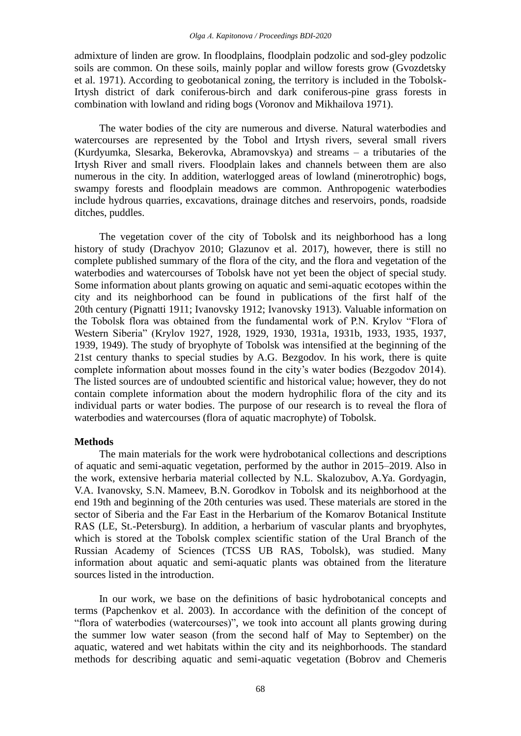admixture of linden are grow. In floodplains, floodplain podzolic and sod-gley podzolic soils are common. On these soils, mainly poplar and willow forests grow (Gvozdetsky et al. 1971). According to geobotanical zoning, the territory is included in the Tobolsk-Irtysh district of dark coniferous-birch and dark coniferous-pine grass forests in combination with lowland and riding bogs (Voronov and Mikhailova 1971).

The water bodies of the city are numerous and diverse. Natural waterbodies and watercourses are represented by the Tobol and Irtysh rivers, several small rivers (Kurdyumka, Slesarka, Bekerovka, Abramovskya) and streams – a tributaries of the Irtysh River and small rivers. Floodplain lakes and channels between them are also numerous in the city. In addition, waterlogged areas of lowland (minerotrophic) bogs, swampy forests and floodplain meadows are common. Anthropogenic waterbodies include hydrous quarries, excavations, drainage ditches and reservoirs, ponds, roadside ditches, puddles.

The vegetation cover of the city of Tobolsk and its neighborhood has a long history of study (Drachyov 2010; Glazunov et al. 2017), however, there is still no complete published summary of the flora of the city, and the flora and vegetation of the waterbodies and watercourses of Tobolsk have not yet been the object of special study. Some information about plants growing on aquatic and semi-aquatic ecotopes within the city and its neighborhood can be found in publications of the first half of the 20th century (Pignatti 1911; Ivanovsky 1912; Ivanovsky 1913). Valuable information on the Tobolsk flora was obtained from the fundamental work of P.N. Krylov "Flora of Western Siberia" (Krylov 1927, 1928, 1929, 1930, 1931a, 1931b, 1933, 1935, 1937, 1939, 1949). The study of bryophyte of Tobolsk was intensified at the beginning of the 21st century thanks to special studies by A.G. Bezgodov. In his work, there is quite complete information about mosses found in the city's water bodies (Bezgodov 2014). The listed sources are of undoubted scientific and historical value; however, they do not contain complete information about the modern hydrophilic flora of the city and its individual parts or water bodies. The purpose of our research is to reveal the flora of waterbodies and watercourses (flora of aquatic macrophyte) of Tobolsk.

#### **Methods**

The main materials for the work were hydrobotanical collections and descriptions of aquatic and semi-aquatic vegetation, performed by the author in 2015–2019. Also in the work, extensive herbaria material collected by N.L. Skalozubov, A.Ya. Gordyagin, V.A. Ivanovsky, S.N. Mameev, B.N. Gorodkov in Tobolsk and its neighborhood at the end 19th and beginning of the 20th centuries was used. These materials are stored in the sector of Siberia and the Far East in the Herbarium of the Komarov Botanical Institute RAS (LE, St.-Petersburg). In addition, a herbarium of vascular plants and bryophytes, which is stored at the Tobolsk complex scientific station of the Ural Branch of the Russian Academy of Sciences (TCSS UB RAS, Tobolsk), was studied. Many information about aquatic and semi-aquatic plants was obtained from the literature sources listed in the introduction.

In our work, we base on the definitions of basic hydrobotanical concepts and terms (Papchenkov et al. 2003). In accordance with the definition of the concept of "flora of waterbodies (watercourses)", we took into account all plants growing during the summer low water season (from the second half of May to September) on the aquatic, watered and wet habitats within the city and its neighborhoods. The standard methods for describing aquatic and semi-aquatic vegetation (Bobrov and Chemeris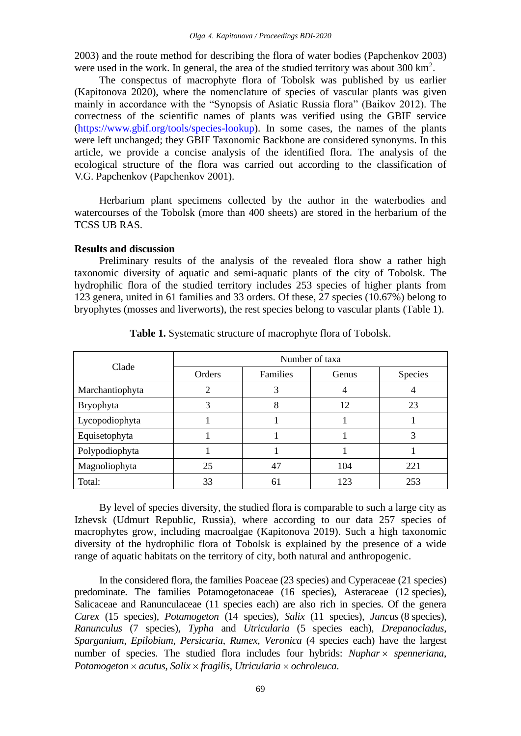2003) and the route method for describing the flora of water bodies (Papchenkov 2003) were used in the work. In general, the area of the studied territory was about  $300 \text{ km}^2$ .

The conspectus of macrophyte flora of Tobolsk was published by us earlier (Kapitonova 2020), where the nomenclature of species of vascular plants was given mainly in accordance with the "Synopsis of Asiatic Russia flora" (Baikov 2012). The correctness of the scientific names of plants was verified using the GBIF service [\(https://www.gbif.org/tools/species-lookup\)](https://www.gbif.org/tools/species-lookup). In some cases, the names of the plants were left unchanged; they GBIF Taxonomic Backbone are considered synonyms. In this article, we provide a concise analysis of the identified flora. The analysis of the ecological structure of the flora was carried out according to the classification of V.G. Papchenkov (Papchenkov 2001).

Herbarium plant specimens collected by the author in the waterbodies and watercourses of the Tobolsk (more than 400 sheets) are stored in the herbarium of the TCSS UB RAS.

#### **Results and discussion**

Preliminary results of the analysis of the revealed flora show a rather high taxonomic diversity of aquatic and semi-aquatic plants of the city of Tobolsk. The hydrophilic flora of the studied territory includes 253 species of higher plants from 123 genera, united in 61 families and 33 orders. Of these, 27 species (10.67%) belong to bryophytes (mosses and liverworts), the rest species belong to vascular plants (Table 1).

| Clade           | Number of taxa |          |       |                |
|-----------------|----------------|----------|-------|----------------|
|                 | Orders         | Families | Genus | <b>Species</b> |
| Marchantiophyta |                | 3        |       |                |
| Bryophyta       | 3              | 8        | 12    | 23             |
| Lycopodiophyta  |                |          |       |                |
| Equisetophyta   |                |          |       | 3              |
| Polypodiophyta  |                |          |       |                |
| Magnoliophyta   | 25             | 47       | 104   | 221            |
| Total:          | 33             | 61       | 123   | 253            |

**Table 1.** Systematic structure of macrophyte flora of Tobolsk.

By level of species diversity, the studied flora is comparable to such a large city as Izhevsk (Udmurt Republic, Russia), where according to our data 257 species of macrophytes grow, including macroalgae (Kapitonova 2019). Such a high taxonomic diversity of the hydrophilic flora of Tobolsk is explained by the presence of a wide range of aquatic habitats on the territory of city, both natural and anthropogenic.

In the considered flora, the families Poaceae (23 species) and Cyperaceae (21 species) predominate. The families Potamogetonaceae (16 species), Asteraceae (12 species), Salicaceae and Ranunculaceae (11 species each) are also rich in species. Of the genera *Carex* (15 species), *Potamogeton* (14 species), *Salix* (11 species), *Juncus* (8 species), *Ranunculus* (7 species), *Typha* and *Utricularia* (5 species each), *Drepanocladus*, *Sparganium*, *Epilobium, Persicaria*, *Rumex, Veronica* (4 species each) have the largest number of species. The studied flora includes four hybrids: *Nuphar spenneriana*, *Potamogeton acutus*, *Salix fragilis*, *Utricularia ochroleuca*.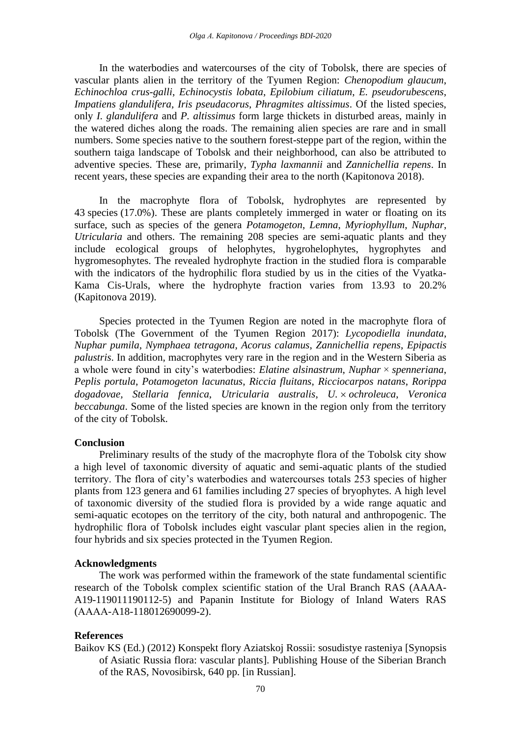In the waterbodies and watercourses of the city of Tobolsk, there are species of vascular plants alien in the territory of the Tyumen Region: *Chenopodium glaucum*, *Echinochloa crus-galli*, *Echinocystis lobata*, *Epilobium ciliatum*, *E. pseudorubescens*, *Impatiens glandulifera*, *Iris pseudacorus*, *Phragmites altissimus*. Of the listed species, only *I. glandulifera* and *P. altissimus* form large thickets in disturbed areas, mainly in the watered diches along the roads. The remaining alien species are rare and in small numbers. Some species native to the southern forest-steppe part of the region, within the southern taiga landscape of Tobolsk and their neighborhood, can also be attributed to adventive species. These are, primarily, *Typha laxmannii* and *Zannichellia repens*. In recent years, these species are expanding their area to the north (Kapitonova 2018).

In the macrophyte flora of Tobolsk, hydrophytes are represented by 43 species (17.0%). These are plants completely immerged in water or floating on its surface, such as species of the genera *Potamogeton*, *Lemna*, *Myriophyllum*, *Nuphar*, *Utricularia* and others. The remaining 208 species are semi-aquatic plants and they include ecological groups of helophytes, hygrohelophytes, hygrophytes and hygromesophytes. The revealed hydrophyte fraction in the studied flora is comparable with the indicators of the hydrophilic flora studied by us in the cities of the Vyatka-Kama Cis-Urals, where the hydrophyte fraction varies from 13.93 to 20.2% (Kapitonova 2019).

Species protected in the Tyumen Region are noted in the macrophyte flora of Tobolsk (The Government of the Tyumen Region 2017): *Lycopodiella inundata*, *Nuphar pumila*, *Nymphaea tetragona*, *Acorus calamus*, *Zannichellia repens*, *Epipactis palustris*. In addition, macrophytes very rare in the region and in the Western Siberia as a whole were found in city's waterbodies: *Elatine alsinastrum*, *Nuphar* × *spenneriana*, *Peplis portula*, *Potamogeton lacunatus*, *Riccia fluitans*, *Ricciocarpos natans*, *Rorippa dogadovae, Stellaria fennica*, *Utricularia australis*, *U. ochroleuca*, *Veronica beccabunga*. Some of the listed species are known in the region only from the territory of the city of Tobolsk.

### **Conclusion**

Preliminary results of the study of the macrophyte flora of the Tobolsk city show a high level of taxonomic diversity of aquatic and semi-aquatic plants of the studied territory. The flora of city's waterbodies and watercourses totals 253 species of higher plants from 123 genera and 61 families including 27 species of bryophytes. A high level of taxonomic diversity of the studied flora is provided by a wide range aquatic and semi-aquatic ecotopes on the territory of the city, both natural and anthropogenic. The hydrophilic flora of Tobolsk includes eight vascular plant species alien in the region, four hybrids and six species protected in the Tyumen Region.

#### **Acknowledgments**

The work was performed within the framework of the state fundamental scientific research of the Tobolsk complex scientific station of the Ural Branch RAS (AAAA-A19-119011190112-5) and Papanin Institute for Biology of Inland Waters RAS (АААА-А18-118012690099-2).

#### **References**

Baikov KS (Ed.) (2012) Konspekt flory Aziatskoj Rossii: sosudistye rasteniya [Synopsis of Asiatic Russia flora: vascular plants]. Publishing House of the Siberian Branch of the RAS, Novosibirsk, 640 pp. [in Russian].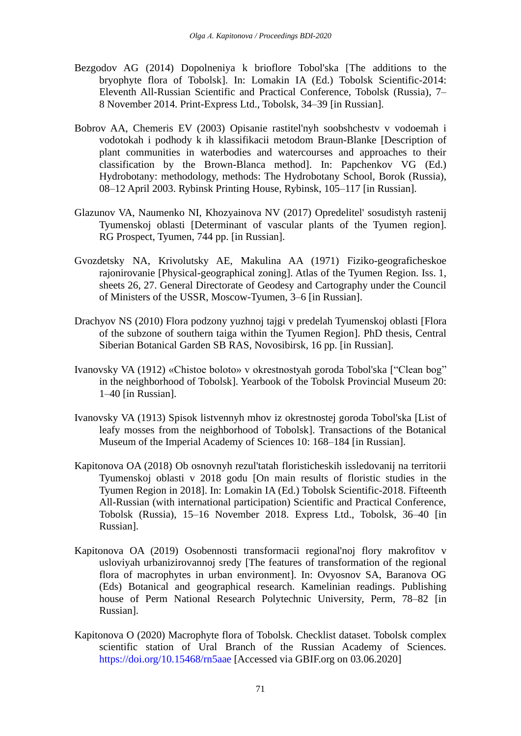- Bezgodov AG (2014) Dopolneniya k brioflore Tobol'ska [The additions to the bryophyte flora of Tobolsk]. In: Lomakin IA (Ed.) Tobolsk Scientific-2014: Eleventh All-Russian Scientific and Practical Conference, Tobolsk (Russia), 7– 8 November 2014. Print-Express Ltd., Tobolsk, 34–39 [in Russian].
- Bobrov AA, Chemeris EV (2003) Opisanie rastitel'nyh soobshchestv v vodoemah i vodotokah i podhody k ih klassifikacii metodom Braun-Blanke [Description of plant communities in waterbodies and watercourses and approaches to their classification by the Brown-Blanca method]. In: Papchenkov VG (Ed.) Hydrobotany: methodology, methods: The Hydrobotany School, Borok (Russia), 08–12 April 2003. Rybinsk Printing House, Rybinsk, 105–117 [in Russian].
- Glazunov VA, Naumenko NI, Khozyainova NV (2017) Opredelitel' sosudistyh rastenij Tyumenskoj oblasti [Determinant of vascular plants of the Tyumen region]. RG Prospect, Tyumen, 744 pp. [in Russian].
- Gvozdetsky NA, Krivolutsky AE, Makulina AA (1971) Fiziko-geograficheskoe rajonirovanie [Physical-geographical zoning]. Atlas of the Tyumen Region. Iss. 1, sheets 26, 27. General Directorate of Geodesy and Cartography under the Council of Ministers of the USSR, Moscow-Tyumen, 3–6 [in Russian].
- Drachyov NS (2010) Flora podzony yuzhnoj tajgi v predelah Tyumenskoj oblasti [Flora of the subzone of southern taiga within the Tyumen Region]. PhD thesis, Central Siberian Botanical Garden SB RAS, Novosibirsk, 16 pp. [in Russian].
- Ivanovsky VA (1912) «Chistoe boloto» v okrestnostyah goroda Tobol'ska ["Clean bog" in the neighborhood of Tobolsk]. Yearbook of the Tobolsk Provincial Museum 20: 1–40 [in Russian].
- Ivanovsky VA (1913) Spisok listvennyh mhov iz okrestnostej goroda Tobol'ska [List of leafy mosses from the neighborhood of Tobolsk]. Transactions of the Botanical Museum of the Imperial Academy of Sciences 10: 168–184 [in Russian].
- Kapitonova OA (2018) Ob osnovnyh rezul'tatah floristicheskih issledovanij na territorii Tyumenskoj oblasti v 2018 godu [On main results of floristic studies in the Tyumen Region in 2018]. In: Lomakin IA (Ed.) Tobolsk Scientific-2018. Fifteenth All-Russian (with international participation) Scientific and Practical Conference, Tobolsk (Russia), 15–16 November 2018. Express Ltd., Tobolsk, 36–40 [in Russian].
- Kapitonova OA (2019) Osobennosti transformacii regional'noj flory makrofitov v usloviyah urbanizirovannoj sredy [The features of transformation of the regional flora of macrophytes in urban environment]. In: Ovyosnov SA, Baranova OG (Eds) Botanical and geographical research. Kamelinian readings. Publishing house of Perm National Research Polytechnic University, Perm, 78–82 [in Russian].
- Kapitonova O (2020) Macrophyte flora of Tobolsk. Checklist dataset. Tobolsk complex scientific station of Ural Branch of the Russian Academy of Sciences. <https://doi.org/10.15468/rn5aae> [Accessed via GBIF.org on 03.06.2020]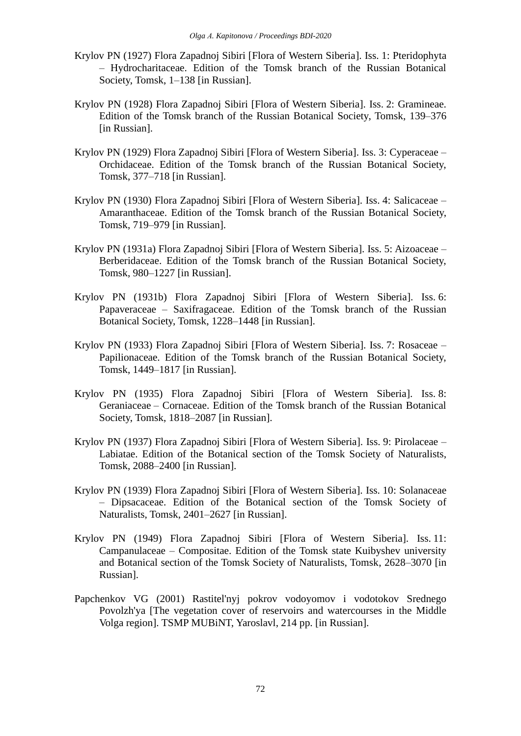- Krylov PN (1927) Flora Zapadnoj Sibiri [Flora of Western Siberia]. Iss. 1: Pteridophyta – Hydrocharitaceae. Edition of the Tomsk branch of the Russian Botanical Society, Tomsk, 1–138 [in Russian].
- Krylov PN (1928) Flora Zapadnoj Sibiri [Flora of Western Siberia]. Iss. 2: Gramineae. Edition of the Tomsk branch of the Russian Botanical Society, Tomsk, 139–376 [in Russian].
- Krylov PN (1929) Flora Zapadnoj Sibiri [Flora of Western Siberia]. Iss. 3: Cyperaceae Orchidaceae. Edition of the Tomsk branch of the Russian Botanical Society, Tomsk, 377–718 [in Russian].
- Krylov PN (1930) Flora Zapadnoj Sibiri [Flora of Western Siberia]. Iss. 4: Salicaceae Amaranthaceae. Edition of the Tomsk branch of the Russian Botanical Society, Tomsk, 719–979 [in Russian].
- Krylov PN (1931a) Flora Zapadnoj Sibiri [Flora of Western Siberia]. Iss. 5: Aizoaceae Berberidaceae. Edition of the Tomsk branch of the Russian Botanical Society, Tomsk, 980–1227 [in Russian].
- Krylov PN (1931b) Flora Zapadnoj Sibiri [Flora of Western Siberia]. Iss. 6: Papaveraceae – Saxifragaceae. Edition of the Tomsk branch of the Russian Botanical Society, Tomsk, 1228–1448 [in Russian].
- Krylov PN (1933) Flora Zapadnoj Sibiri [Flora of Western Siberia]. Iss. 7: Rosaceae Papilionaceae. Edition of the Tomsk branch of the Russian Botanical Society, Tomsk, 1449–1817 [in Russian].
- Krylov PN (1935) Flora Zapadnoj Sibiri [Flora of Western Siberia]. Iss. 8: Geraniaceae – Cornaceae. Edition of the Tomsk branch of the Russian Botanical Society, Tomsk, 1818–2087 [in Russian].
- Krylov PN (1937) Flora Zapadnoj Sibiri [Flora of Western Siberia]. Iss. 9: Pirolaceae Labiatae. Edition of the Botanical section of the Tomsk Society of Naturalists, Tomsk, 2088–2400 [in Russian].
- Krylov PN (1939) Flora Zapadnoj Sibiri [Flora of Western Siberia]. Iss. 10: Solanaceae – Dipsacaceae. Edition of the Botanical section of the Tomsk Society of Naturalists, Tomsk, 2401–2627 [in Russian].
- Krylov PN (1949) Flora Zapadnoj Sibiri [Flora of Western Siberia]. Iss. 11: Campanulaceae – Compositae. Edition of the Tomsk state Kuibyshev university and Botanical section of the Tomsk Society of Naturalists, Tomsk, 2628–3070 [in Russian].
- Papchenkov VG (2001) Rastitel'nyj pokrov vodoyomov i vodotokov Srednego Povolzh'ya [The vegetation cover of reservoirs and watercourses in the Middle Volga region]. TSMP MUBiNT, Yaroslavl, 214 pp. [in Russian].